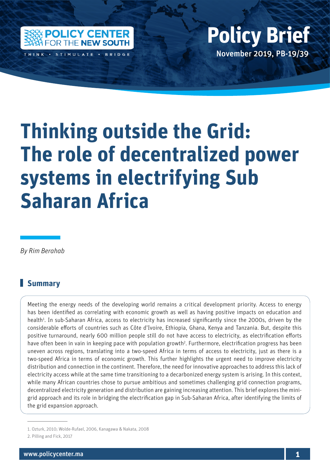

## Policy Center for the New South Policy Britain Policy Britain Policy Britain Policy Britain Policy Britain Policy Britain Policy Britain Policy Britain Policy Britain Policy Britain Policy Britain Policy Britain Policy Bri November 2019, PB-19/39 **Policy Brief**

# **Thinking outside the Grid: The role of decentralized power systems in electrifying Sub Saharan Africa**

*By Rim Berahab*

### **Summary**

Meeting the energy needs of the developing world remains a critical development priority. Access to energy has been identified as correlating with economic growth as well as having positive impacts on education and health<sup>1</sup>. In sub-Saharan Africa, access to electricity has increased significantly since the 2000s, driven by the considerable efforts of countries such as Côte d'Ivoire, Ethiopia, Ghana, Kenya and Tanzania. But, despite this positive turnaround, nearly 600 million people still do not have access to electricity, as electrification efforts have often been in vain in keeping pace with population growth<sup>2</sup>. Furthermore, electrification progress has been uneven across regions, translating into a two-speed Africa in terms of access to electricity, just as there is a two-speed Africa in terms of economic growth. This further highlights the urgent need to improve electricity distribution and connection in the continent. Therefore, the need for innovative approaches to address this lack of electricity access while at the same time transitioning to a decarbonized energy system is arising. In this context, while many African countries chose to pursue ambitious and sometimes challenging grid connection programs, decentralized electricity generation and distribution are gaining increasing attention. This brief explores the minigrid approach and its role in bridging the electrification gap in Sub-Saharan Africa, after identifying the limits of the grid expansion approach.

<sup>1.</sup> Ozturk, 2010; Wolde-Rufael, 2006, Kanagawa & Nakata, 2008

<sup>2.</sup> Pilling and Fick, 2017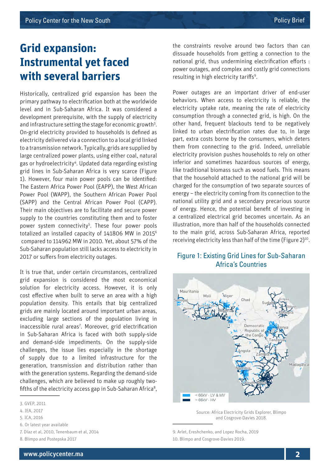### **Grid expansion: Instrumental yet faced with several barriers**

Historically, centralized grid expansion has been the primary pathway to electrification both at the worldwide level and in Sub-Saharan Africa. It was considered a development prerequisite, with the supply of electricity and infrastructure setting the stage for economic growth<sup>3</sup>. On-grid electricity provided to households is defined as electricity delivered via a connection to a local grid linked to a transmission network. Typically, grids are supplied by large centralized power plants, using either coal, natural gas or hydroelectricity<sup>4</sup>. Updated data regarding existing grid lines in Sub-Saharan Africa is very scarce (Figure 1). However, four main power pools can be identified: The Eastern Africa Power Pool (EAPP), the West African Power Pool (WAPP), the Southern African Power Pool (SAPP) and the Central African Power Pool (CAPP). Their main objectives are to facilitate and secure power supply to the countries constituting them and to foster power system connectivity<sup>5</sup>. These four power pools totalized an installed capacity of 141806 MW in 20156 compared to 114962 MW in 2010. Yet, about 57% of the Sub-Saharan population still lacks access to electricity in 2017 or suffers from electricity outages.

It is true that, under certain circumstances, centralized grid expansion is considered the most economical solution for electricity access. However, it is only cost effective when built to serve an area with a high population density. This entails that big centralized grids are mainly located around important urban areas, excluding large sections of the population living in inaccessible rural areas<sup>7</sup>. Moreover, grid electrification in Sub-Saharan Africa is faced with both supply-side and demand-side impediments. On the supply-side challenges, the issue lies especially in the shortage of supply due to a limited infrastructure for the generation, transmission and distribution rather than with the generation systems. Regarding the demand-side challenges, which are believed to make up roughly twofifths of the electricity access gap in Sub-Saharan Africa<sup>8</sup>,

7. Díaz et al, 2010, Tenenbaum et al, 2014

the constraints revolve around two factors than can dissuade households from getting a connection to the national grid, thus undermining electrification efforts : power outages, and complex and costly grid connections resulting in high electricity tariffs<sup>9</sup>.

Power outages are an important driver of end-user behaviors. When access to electricity is reliable, the electricity uptake rate, meaning the rate of electricity consumption through a connected grid, is high. On the other hand, frequent blackouts tend to be negatively linked to urban electrification rates due to, in large part, extra costs borne by the consumers, which deters them from connecting to the grid. Indeed, unreliable electricity provision pushes households to rely on other inferior and sometimes hazardous sources of energy, like traditional biomass such as wood fuels. This means that the household attached to the national grid will be charged for the consumption of two separate sources of energy – the electricity coming from its connection to the national utility grid and a secondary precarious source of energy. Hence, the potential benefit of investing in a centralized electrical grid becomes uncertain. As an illustration, more than half of the households connected to the main grid, across Sub-Saharan Africa, reported receiving electricity less than half of the time (Figure 2)<sup>10</sup>.

#### Figure 1: Existing Grid Lines for Sub-Saharan Africa's Countries



Source: Africa Electricity Grids Explorer, Blimpo and Cosgrove-Davies 2018.

<sup>3.</sup> GVEP, 2011

<sup>4.</sup> IEA, 2017

<sup>5.</sup> ICA, 2016

<sup>6.</sup> Or latest year available

<sup>8.</sup> Blimpo and Postepska 2017

<sup>9.</sup> Arlet, Ereshchenko, and Lopez Rocha, 2019 10. Blimpo and Cosgrove-Davies 2019.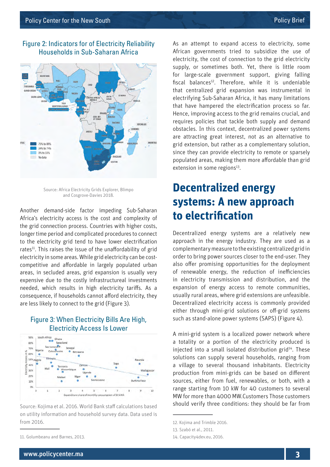



Source: Africa Electricity Grids Explorer, Blimpo and Cosgrove-Davies 2018.

Another demand-side factor impeding Sub-Saharan Africa's electricity access is the cost and complexity of the grid connection process. Countries with higher costs, longer time period and complicated procedures to connect to the electricity grid tend to have lower electrification rates<sup>11</sup>. This raises the issue of the unaffordability of grid electricity in some areas. While grid electricity can be costcompetitive and affordable in largely populated urban areas, in secluded areas, grid expansion is usually very expensive due to the costly infrastructureal investments needed, which results in high electricity tariffs. As a consequence, if households cannot afford electricity, they are less likely to connect to the grid (Figure 3).

#### Figure 3: When Electricity Bills Are High, Electricity Access Is Lower



Source: Kojima et al. 2016. World Bank staff calculations based on utility information and household survey data. Data used is from 2016.

As an attempt to expand access to electricity, some African governments tried to subsidize the use of electricity, the cost of connection to the grid electricity supply, or sometimes both. Yet, there is little room for large-scale government support, giving falling fiscal balances<sup>12</sup>. Therefore, while it is undeniable that centralized grid expansion was instrumental in electrifying Sub-Saharan Africa, it has many limitations that have hampered the electrification process so far. Hence, improving access to the grid remains crucial, and requires policies that tackle both supply and demand obstacles. In this context, decentralized power systems are attracting great interest, not as an alternative to grid extension, but rather as a complementary solution, since they can provide electricity to remote or sparsely populated areas, making them more affordable than grid extension in some regions<sup>13</sup>.

### **Decentralized energy systems: A new approach to electrification**

Decentralized energy systems are a relatively new approach in the energy industry. They are used as a complementary measure to the existing centralized grid in order to bring power sources closer to the end-user. They also offer promising opportunities for the deployment of renewable energy, the reduction of inefficiencies in electricity transmission and distribution, and the expansion of energy access to remote communities, usually rural areas, where grid extensions are unfeasible. Decentralized electricity access is commonly provided either through mini-grid solutions or off-grid systems such as stand-alone power systems (SAPS) (Figure 4).

A mini-grid system is a localized power network where a totality or a portion of the electricity produced is injected into a small isolated distribution grid $14$ . These solutions can supply several households, ranging from a village to several thousand inhabitants. Electricity production from mini-grids can be based on different sources, either from fuel, renewables, or both, with a range starting from 10 kW for 40 customers to several MW for more than 4000 MW.Customers Those customers should verify three conditions: they should be far from

<sup>11.</sup> Golumbeanu and Barnes, 2013.

<sup>12.</sup> Kojima and Trimble 2016.

<sup>13.</sup> Szabó et al., 2011.

<sup>14.</sup> Capacity4dev.eu, 2016.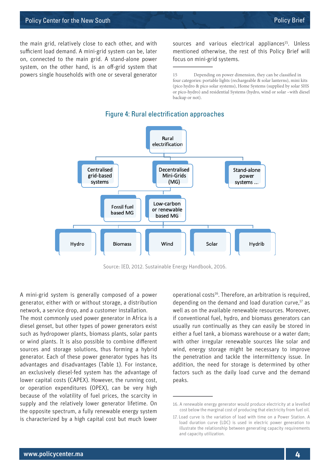the main grid, relatively close to each other, and with sufficient load demand. A mini-grid system can be, later on, connected to the main grid. A stand-alone power system, on the other hand, is an off-grid system that powers single households with one or several generator sources and various electrical appliances<sup>15</sup>. Unless mentioned otherwise, the rest of this Policy Brief will focus on mini-grid systems.

15 Depending on power dimension, they can be classified in four categories: portable lights (rechargeable & solar lanterns), mini kits (pico hydro & pico solar systems), Home Systems (supplied by solar SHS or pico-hydro) and residential Systems (hydro, wind or solar –with diesel backup or not).



#### Figure 4: Rural electrification approaches

Source: IED, 2012. Sustainable Energy Handbook, 2016.

A mini-grid system is generally composed of a power generator, either with or without storage, a distribution network, a service drop, and a customer installation.

The most commonly used power generator in Africa is a diesel genset, but other types of power generators exist such as hydropower plants, biomass plants, solar pants or wind plants. It is also possible to combine different sources and storage solutions, thus forming a hybrid generator. Each of these power generator types has its advantages and disadvantages (Table 1). For instance, an exclusively diesel-fed system has the advantage of lower capital costs (CAPEX). However, the running cost, or operation expenditures (OPEX), can be very high because of the volatility of fuel prices, the scarcity in supply and the relatively lower generator lifetime. On the opposite spectrum, a fully renewable energy system is characterized by a high capital cost but much lower

operational costs<sup>16</sup>. Therefore, an arbitration is required, depending on the demand and load duration curve.<sup>17</sup> as well as on the available renewable resources. Moreover, if conventional fuel, hydro, and biomass generators can usually run continually as they can easily be stored in either a fuel tank, a biomass warehouse or a water dam; with other irregular renewable sources like solar and wind, energy storage might be necessary to improve the penetration and tackle the intermittency issue. In addition, the need for storage is determined by other factors such as the daily load curve and the demand peaks.

<sup>16.</sup> A renewable energy generator would produce electricity at a levelled cost below the marginal cost of producing that electricity from fuel oil.

<sup>17.</sup> Load curve is the variation of load with time on a Power Station. A load duration curve (LDC) is used in electric power generation to illustrate the relationship between generating capacity requirements and capacity utilization.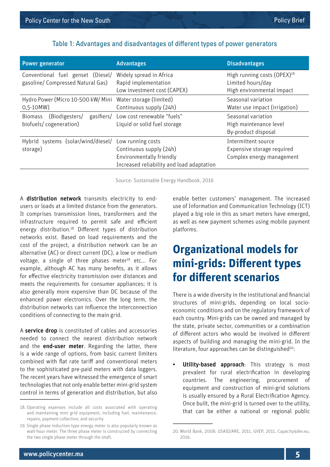| <b>Power generator</b>                                                   | <b>Advantages</b>                                                                                                     | <b>Disadvantages</b>                                                                      |
|--------------------------------------------------------------------------|-----------------------------------------------------------------------------------------------------------------------|-------------------------------------------------------------------------------------------|
| Conventional fuel genset (Diesel/<br>gasoline/ Compressed Natural Gas)   | Widely spread in Africa<br>Rapid implementation<br>Low investment cost (CAPEX)                                        | High running costs (OPEX) <sup>18</sup><br>Limited hours/day<br>High environmental impact |
| Hydro Power (Micro 10-500 kW/ Mini<br>$0,5-10MW)$                        | Water storage (limited)<br>Continuous supply (24h)                                                                    | Seasonal variation<br>Water use impact (irrigation)                                       |
| gasifiers/<br>(Biodigesters/<br><b>Biomass</b><br>biofuels/cogeneration) | Low cost renewable "fuels"<br>Liquid or solid fuel storage                                                            | Seasonal variation<br>High maintenance level<br>By-product disposal                       |
| Hybrid systems (solar/wind/diesel/<br>storage)                           | Low running costs<br>Continuous supply (24h)<br>Environmentally friendly<br>Increased reliability and load adaptation | Intermittent source<br>Expensive storage required<br>Complex energy management            |

#### Table 1: Advantages and disadvantages of different types of power generators

Source: Sustainable Energy Handbook, 2016

A distribution network transmits electricity to endusers or loads at a limited distance from the generators. It comprises transmission lines, transformers and the infrastructure required to permit safe and efficient energy distribution.<sup>18</sup> Different types of distribution networks exist. Based on load requirements and the cost of the project, a distribution network can be an alternative (AC) or direct current (DC), a low or medium voltage, a single of three phases meter<sup>19</sup> etc... For example, although AC has many benefits, as it allows for effective electricity transmission over distances and meets the requirements for consumer appliances; it is also generally more expensive than DC because of the enhanced power electronics. Over the long term, the distribution networks can influence the interconnection conditions of connecting to the main grid.

A service drop is constituted of cables and accessories needed to connect the nearest distribution network and the **end-user meter**. Regarding the latter, there is a wide range of options, from basic current limiters combined with flat rate tariff and conventional meters to the sophisticated pre-paid meters with data loggers. The recent years have witnessed the emergence of smart technologies that not only enable better mini-grid system control in terms of generation and distribution, but also enable better customers' management. The increased use of Information and Communication Technology (ICT) played a big role in this as smart meters have emerged, as well as new payment schemes using mobile payment platforms.

### **Organizational models for mini-grids: Different types for different scenarios**

There is a wide diversity in the institutional and financial structures of mini-grids, depending on local socioeconomic conditions and on the regulatory framework of each country. Mini-grids can be owned and managed by the state, private sector, communities or a combination of different actors who would be involved in different aspects of building and managing the mini-grid. In the literature, four approaches can be distinguished<sup>20</sup>:

• Utility-based approach: This strategy is most prevalent for rural electrification in developing countries. The engineering, procurement of equipment and construction of mini-grid solutions is usually ensured by a Rural Electrification Agency. Once built, the mini-grid is turned over to the utility, that can be either a national or regional public

<sup>18.</sup> Operating expenses include all costs associated with operating and maintaining mini grid equipment, including fuel, maintenance, repairs, payment collection, and security

<sup>19.</sup> Single phase induction type energy meter is also popularly known as watt-hour meter. The three phase meter is constructed by connecting the two single phase meter through the shaft.

<sup>20.</sup> World Bank, 2008; USAID/ARE, 2011, GVEP, 2011, Capacity4dev.eu, 2016.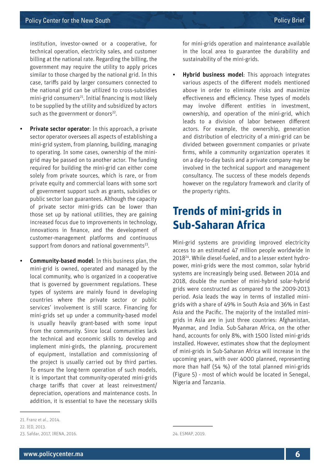institution, investor-owned or a cooperative, for technical operation, electricity sales, and customer billing at the national rate. Regarding the billing, the government may require the utility to apply prices similar to those charged by the national grid. In this case, tariffs paid by larger consumers connected to the national grid can be utilized to cross-subsidies  $min$ -grid consumers<sup>21</sup>. Initial financing is most likely to be supplied by the utility and subsidized by actors such as the government or donors $22$ .

- Private sector operator: In this approach, a private sector operator oversees all aspects of establishing a mini-grid system, from planning, building, managing to operating. In some cases, ownership of the minigrid may be passed on to another actor. The funding required for building the mini-grid can either come solely from private sources, which is rare, or from private equity and commercial loans with some sort of government support such as grants, subsidies or public sector loan guarantees. Although the capacity of private sector mini-grids can be lower than those set up by national utilities, they are gaining increased focus due to improvements in technology, innovations in finance, and the development of customer-management platforms and continuous support from donors and national governments<sup>23</sup>.
- **Community-based model:** In this business plan, the mini-grid is owned, operated and managed by the local community, who is organized in a cooperative that is governed by government regulations. These types of systems are mainly found in developing countries where the private sector or public services' involvement is still scarce. Financing for mini-grids set up under a community-based model is usually heavily grant-based with some input from the community. Since local communities lack the technical and economic skills to develop and implement mini-girds, the planning, procurement of equipment, installation and commissioning of the project is usually carried out by third parties. To ensure the long-term operation of such models, it is important that community-operated mini-grids charge tariffs that cover at least reinvestment/ depreciation, operations and maintenance costs. In addition, it is essential to have the necessary skills

Hybrid business model: This approach integrates various aspects of the different models mentioned above in order to eliminate risks and maximize effectiveness and efficiency. These types of models may involve different entities in investment, ownership, and operation of the mini-grid, which leads to a division of labor between different actors. For example, the ownership, generation and distribution of electricity of a mini-grid can be divided between government companies or private firms, while a community organization operates it on a day-to-day basis and a private company may be involved in the technical support and management consultancy. The success of these models depends however on the regulatory framework and clarity of the property rights.

### **Trends of mini-grids in Sub-Saharan Africa**

Mini-grid systems are providing improved electricity access to an estimated 47 million people worldwide in 201824. While diesel-fueled, and to a lesser extent hydropower, mini-grids were the most common, solar hybrid systems are increasingly being used. Between 2014 and 2018, double the number of mini-hybrid solar-hybrid grids were constructed as compared to the 2009-2013 period. Asia leads the way in terms of installed minigrids with a share of 49% in South Asia and 36% in East Asia and the Pacific. The majority of the installed minigrids in Asia are in just three countries: Afghanistan, Myanmar, and India. Sub-Saharan Africa, on the other hand, accounts for only 8%, with 1500 listed mini-grids installed. However, estimates show that the deployment of mini-grids in Sub-Saharan Africa will increase in the upcoming years, with over 4000 planned, representing more than half (54 %) of the total planned mini-grids (Figure 5) - most of which would be located in Senegal, Nigeria and Tanzania.

for mini-grids operation and maintenance available in the local area to guarantee the durability and sustainability of the mini-grids.

<sup>21.</sup> Franz et al., 2014.

<sup>22.</sup> IED, 2013.

<sup>23.</sup> Safdar, 2017, IRENA, 2016.

<sup>24.</sup> ESMAP, 2019.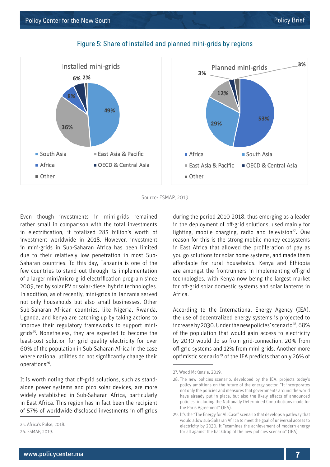

#### Figure 5: Share of installed and planned mini-grids by regions

Source: ESMAP, 2019

Even though investments in mini-grids remained rather small in comparison with the total investments in electrification, it totalized 28\$ billion's worth of investment worldwide in 2018. However, investment in mini-grids in Sub-Saharan Africa has been limited due to their relatively low penetration in most Sub-Saharan countries. To this day, Tanzania is one of the few countries to stand out through its implementation of a larger mini/micro-grid electrification program since 2009, fed by solar PV or solar-diesel hybrid technologies. In addition, as of recently, mini-grids in Tanzania served not only households but also small businesses. Other Sub-Saharan African countries, like Nigeria, Rwanda, Uganda, and Kenya are catching up by taking actions to improve their regulatory frameworks to support minigrids25. Nonetheless, they are expected to become the least-cost solution for grid quality electricity for over 60% of the population in Sub-Saharan Africa in the case where national utilities do not significantly change their operations26.

It is worth noting that off-grid solutions, such as standalone power systems and pico solar devices, are more widely established in Sub-Saharan Africa, particularly in East Africa. This region has in fact been the recipient of 57% of worldwide disclosed investments in off-grids during the period 2010-2018, thus emerging as a leader in the deployment of off-grid solutions, used mainly for lighting, mobile charging, radio and television<sup>27</sup>. One reason for this is the strong mobile money ecosystems in East Africa that allowed the proliferation of pay as you go solutions for solar home systems, and made them affordable for rural households. Kenya and Ethiopia are amongst the frontrunners in implementing off-grid technologies, with Kenya now being the largest market for off-grid solar domestic systems and solar lanterns in Africa.

According to the International Energy Agency (IEA), the use of decentralized energy systems is projected to increase by 2030. Under the new policies' scenario<sup>28</sup>, 68% of the population that would gain access to electricity by 2030 would do so from grid-connection, 20% from off-grid systems and 12% from mini-grids. Another more optimistic scenario29 of the IEA predicts that only 26% of

<sup>25.</sup> Africa's Pulse, 2018.

<sup>26.</sup> ESMAP, 2019.

<sup>27.</sup> Wood McKenzie, 2019.

<sup>28.</sup> The new policies scenario, developed by the IEA, projects today's policy ambitions on the future of the energy sector. "It incorporates not only the policies and measures that governments around the world have already put in place, but also the likely effects of announced policies, including the Nationally Determined Contributions made for the Paris Agreement" (IEA).

<sup>29.</sup> It's the "The Energy for All Case" scenario that develops a pathway that would allow sub-Saharan Africa to meet the goal of universal access to electricity by 2030. It "examines the achievement of modern energy for all against the backdrop of the new policies scenario" (IEA).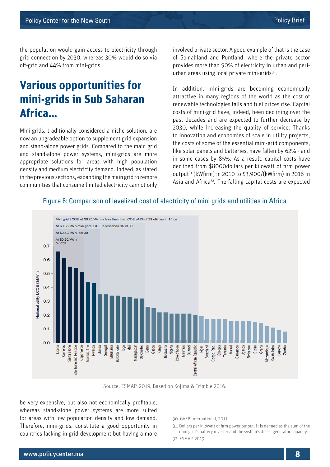the population would gain access to electricity through grid connection by 2030, whereas 30% would do so via off-grid and 44% from mini-grids.

### **Various opportunities for mini-grids in Sub Saharan Africa…**

Mini-grids, traditionally considered a niche solution, are now an upgradeable option to supplement grid expansion and stand-alone power grids. Compared to the main grid and stand-alone power systems, mini-grids are more appropriate solutions for areas with high population density and medium electricity demand. Indeed, as stated in the previous sections, expanding the main grid to remote communities that consume limited electricity cannot only involved private sector. A good example of that is the case of Somaliland and Puntland, where the private sector provides more than 90% of electricity in urban and periurban areas using local private mini-grids<sup>30</sup>.

In addition, mini-grids are becoming economically attractive in many regions of the world as the cost of renewable technologies falls and fuel prices rise. Capital costs of mini-grid have, indeed, been declining over the past decades and are expected to further decrease by 2030, while increasing the quality of service. Thanks to innovation and economies of scale in utility projects, the costs of some of the essential mini-grid components, like solar panels and batteries, have fallen by 62% - and in some cases by 85%. As a result, capital costs have declined from \$8000dollars per kilowatt of firm power output31 (kWfirm) in 2010 to \$3,900/(kWfirm) in 2018 in Asia and Africa<sup>32</sup>. The falling capital costs are expected



#### Figure 6: Comparison of levelized cost of electricity of mini grids and utilities in Africa

Source: ESMAP, 2019, Based on Kojima & Trimble 2016.

be very expensive, but also not economically profitable, whereas stand-alone power systems are more suited for areas with low population density and low demand. Therefore, mini-grids, constitute a good opportunity in countries lacking in grid development but having a more

<sup>30.</sup> GVEP International, 2011.

<sup>31.</sup> Dollars per kilowatt of firm power output. It is defined as the sum of the mini grid's battery inverter and the system's diesel generator capacity.

<sup>32.</sup> ESMAP, 2019.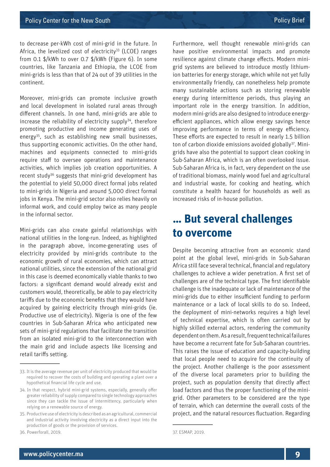to decrease per-kWh cost of mini-grid in the future. In Africa, the levelized cost of electricity<sup>33</sup> (LCOE) ranges from 0.1 \$/kWh to over 0.7 \$/kWh (Figure 6). In some countries, like Tanzania and Ethiopia, the LCOE from mini-grids is less than that of 24 out of 39 utilities in the continent.

Moreover, mini-grids can promote inclusive growth and local development in isolated rural areas through different channels. In one hand, mini-grids are able to increase the reliability of electricity supply $34$ , therefore promoting productive and income generating uses of energy35, such as establishing new small businesses, thus supporting economic activities. On the other hand, machines and equipments connected to mini-grids require staff to oversee operations and maintenance activities, which implies job creation opportunities. A recent study36 suggests that mini-grid development has the potential to yield 50,000 direct formal jobs related to mini-grids in Nigeria and around 5,000 direct formal jobs in Kenya. The mini-grid sector also relies heavily on informal work, and could employ twice as many people in the informal sector.

Mini-grids can also create gainful relationships with national utilities in the long-run. Indeed, as highlighted in the paragraph above, income-generating uses of electricity provided by mini-grids contribute to the economic growth of rural economies, which can attract national utilities, since the extension of the national grid in this case is deemed economically viable thanks to two factors: a significant demand would already exist and customers would, theoretically, be able to pay electricity tariffs due to the economic benefits that they would have acquired by gaining electricity through mini-grids (ie. Productive use of electricity). Nigeria is one of the few countries in Sub-Saharan Africa who anticipated new sets of mini-grid regulations that facilitate the transition from an isolated mini-grid to the interconnection with the main grid and include aspects like licensing and retail tariffs setting.

Furthermore, well thought renewable mini-grids can have positive environmental impacts and promote resilience against climate change effects. Modern minigrid systems are believed to introduce mostly lithiumion batteries for energy storage, which while not yet fully environmentally friendly, can nonetheless help promote many sustainable actions such as storing renewable energy during intermittence periods, thus playing an important role in the energy transition. In addition, modern mini-grids are also designed to introduce energyefficient appliances, which allow energy savings hence improving performance in terms of energy efficiency. These efforts are expected to result in nearly 1.5 billion ton of carbon dioxide emissions avoided globally<sup>37</sup>. Minigrids have also the potential to support clean cooking in Sub-Saharan Africa, which is an often overlooked issue. Sub-Saharan Africa is, in fact, very dependent on the use of traditional biomass, mainly wood fuel and agricultural and industrial waste, for cooking and heating, which constitute a health hazard for households as well as increased risks of in-house pollution.

### **… But several challenges to overcome**

Despite becoming attractive from an economic stand point at the global level, mini-grids in Sub-Saharan Africa still face several technical, financial and regulatory challenges to achieve a wider penetration. A first set of challenges are of the technical type. The first identifiable challenge is the inadequate or lack of maintenance of the mini-grids due to either insufficient funding to perform maintenance or a lack of local skills to do so. Indeed, the deployment of mini-networks requires a high level of technical expertise, which is often carried out by highly skilled external actors, rendering the community dependent on them. As a result, frequent technical failures have become a recurrent fate for Sub-Saharan countries. This raises the issue of education and capacity-building that local people need to acquire for the continuity of the project. Another challenge is the poor assessment of the diverse local parameters prior to building the project, such as population density that directly affect load factors and thus the proper functioning of the minigrid. Other parameters to be considered are the type of terrain, which can determine the overall costs of the project, and the natural resources fluctuation. Regarding

<sup>33.</sup> It is the average revenue per unit of electricity produced that would be required to recover the costs of building and operating a plant over a hypothetical financial life cycle and use.

<sup>34.</sup> In that respect, hybrid mini-grid systems, especially, generally offer greater reliability of supply compared to single technology approaches since they can tackle the issue of intermittency, particularly when relying on a renewable source of energy.

<sup>35.</sup> Productive use of electricity is described as an agricultural, commercial and industrial activity involving electricity as a direct input into the production of goods or the provision of services.

<sup>36.</sup> Powerforall, 2019.

<sup>37.</sup> ESMAP, 2019.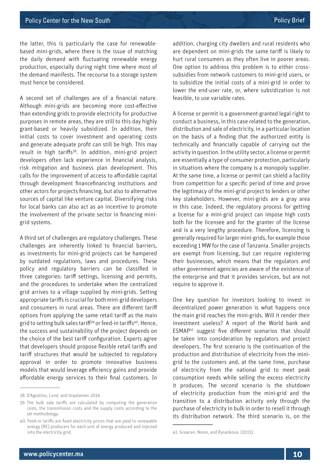the latter, this is particularly the case for renewablebased mini-grids, where there is the issue of matching the daily demand with fluctuating renewable energy production, especially during night time where most of the demand manifests. The recourse to a storage system must hence be considered.

A second set of challenges are of a financial nature. Although mini-grids are becoming more cost-effective than extending grids to provide electricity for productive purposes in remote areas, they are still to this day highly grant-based or heavily subsidized. In addition, their initial costs to cover investment and operating costs and generate adequate profit can still be high. This may result in high tariffs<sup>38</sup>. In addition, mini-grid project developers often lack experience in financial analysis, risk mitigation and business plan development. This calls for the improvement of access to affordable capital through development financefinancing institutions and other actors for projects financing, but also to alternative sources of capital like venture capital. Diversifying risks for local banks can also act as an incentive to promote the involvement of the private sector in financing minigrid systems.

A third set of challenges are regulatory challenges. These challenges are inherently linked to financial barriers, as investments for mini-grid projects can be hampered by outdated regulations, laws and procedures. These policy and regulatory barriers can be classified in three categories: tariff settings, licensing and permits, and the procedures to undertake when the centralized grid arrives to a village supplied by mini-grids. Setting appropriate tariffs is crucial for both mini-grid developers and consumers in rural areas. There are different tariff options from applying the same retail tariff as the main grid to setting bulk sales tariff<sup>39</sup> or feed-in tariffs<sup>40</sup>. Hence, the success and sustainability of the project depends on the choice of the best tariff configuration. Experts agree that developers should propose flexible retail tariffs and tariff structures that would be subjected to regulatory approval in order to promote innovative business models that would leverage efficiency gains and provide affordable energy services to their final customers. In

addition, charging city dwellers and rural residents who are dependent on mini-grids the same tariff is likely to hurt rural consumers as they often live in poorer areas. One option to address this problem is to either crosssubsidies from network customers to mini-grid users, or to subsidize the initial costs of a mini-grid in order to lower the end-user rate, or, where subsidization is not feasible, to use variable rates.

A license or permit is a government-granted legal right to conduct a business, in this case related to the generation, distribution and sale of electricity, in a particular location on the basis of a finding that the authorized entity is technically and financially capable of carrying out the activity in question. In the utility sector, a license or permit are essentially a type of consumer protection, particularly in situations where the company is a monopoly supplier. At the same time, a license or permit can shield a facility from competition for a specific period of time and prove the legitimacy of the mini-grid project to lenders or other key stakeholders. However, mini-grids are a gray area in this case. Indeed, the regulatory process for getting a license for a mini-grid project can impose high costs both for the licensee and for the granter of the license and is a very lengthy procedure. Therefore, licensing is generally required for larger mini-grids, for example those exceeding 1 MW for the case of Tanzania. Smaller projects are exempt from licensing, but can require registering their businesses, which means that the regulators and other government agencies are aware of the existence of the enterprise and that it provides services, but are not require to approve it.

One key question for investors looking to invest in decentralized power generation is what happens once the main grid reaches the mini-grids. Will it render their investment useless? A report of the World bank and ESMAP41 suggest five different scenarios that should be taken into consideration by regulators and project developers. The first scenario is the continuation of the production and distribution of electricity from the minigrid to the customers and, at the same time, purchase of electricity from the national grid to meet peak consumption needs while selling the excess electricity it produces. The second scenario is the shutdown of electricity production from the mini-grid and the transition to a distribution activity only through the purchase of electricity in bulk in order to resell it through its distribution network. The third scenario is, on the

<sup>38.</sup> D'Agostino, Lund, and Urpelainen 2016.

<sup>39.</sup> The bulk sale tariffs are calculated by computing the generation costs, the transmission costs and the supply costs according to the set methodology.

<sup>40.</sup> Feed-in tariffs are fixed electricity prices that are paid to renewable energy (RE) producers for each unit of energy produced and injected into the electricity grid.

<sup>41.</sup> Greacen, Nsom, and Rysankova. (2015).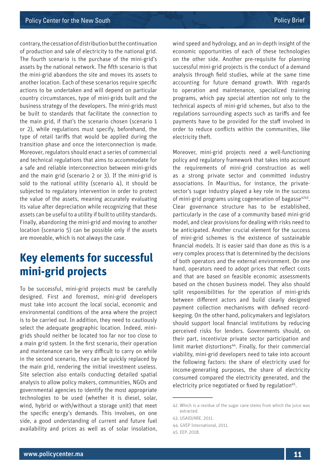contrary, the cessation of distribution but the continuation of production and sale of electricity to the national grid. The fourth scenario is the purchase of the mini-grid's assets by the national network. The fifth scenario is that the mini-grid abandons the site and moves its assets to another location. Each of these scenarios require specific actions to be undertaken and will depend on particular country circumstances, type of mini-grids built and the business strategy of the developers. The mini-grids must be built to standards that facilitate the connection to the main grid, if that's the scenario chosen (scenario 1 or 2), while regulations must specify, beforehand, the type of retail tariffs that would be applied during the transition phase and once the interconnection is made. Moreover, regulators should enact a series of commercial and technical regulations that aims to accommodate for a safe and reliable interconnection between mini-grids and the main grid (scenario 2 or 3). If the mini-grid is sold to the national utility (scenario 4), it should be subjected to regulatory intervention in order to protect the value of the assets, meaning accurately evaluating its value after depreciation while recognizing that these assets can be useful to a utility if built to utility standards. Finally, abandoning the mini-grid and moving to another location (scenario 5) can be possible only if the assets are moveable, which is not always the case.

### **Key elements for successful mini-grid projects**

To be successful, mini-grid projects must be carefully designed. First and foremost, mini-grid developers must take into account the local social, economic and environmental conditions of the area where the project is to be carried out. In addition, they need to cautiously select the adequate geographic location. Indeed, minigrids should neither be located too far nor too close to a main grid system. In the first scenario, their operation and maintenance can be very difficult to carry on while in the second scenario, they can be quickly replaced by the main grid, rendering the initial investment useless. Site selection also entails conducting detailed spatial analysis to allow policy makers, communities, NGOs and governmental agencies to identify the most appropriate technologies to be used (whether it is diesel, solar, wind, hybrid or with/without a storage unit) that meet the specific energy's demands. This involves, on one side, a good understanding of current and future fuel availability and prices as well as of solar insolation,

wind speed and hydrology, and an in-depth insight of the economic opportunities of each of these technologies on the other side. Another pre-requisite for planning successful mini-grid projects is the conduct of a demand analysis through field studies, while at the same time accounting for future demand growth. With regards to operation and maintenance, specialized training programs, which pay special attention not only to the technical aspects of mini-grid schemes, but also to the regulations surrounding aspects such as tariffs and fee payments have to be provided for the staff involved in order to reduce conflicts within the communities, like electricity theft.

Moreover, mini-grid projects need a well-functioning policy and regulatory framework that takes into account the requirements of mini-grid construction as well as a strong private sector and committed industry associations. In Mauritius, for instance, the privatesector's sugar industry played a key role in the success of mini-grid programs using cogeneration of bagasse $4243$ . Clear governance structure has to be established, particularly in the case of a community based mini-grid model, and clear provisions for dealing with risks need to be anticipated. Another crucial element for the success of mini-grid schemes is the existence of sustainable financial models. It is easier said than done as this is a very complex process that is determined by the decisions of both operators and the external environment. On one hand, operators need to adopt prices that reflect costs and that are based on feasible economic assessments based on the chosen business model. They also should split responsibilities for the operation of mini-grids between different actors and build clearly designed payment collection mechanisms with defined recordkeeping. On the other hand, policymakers and legislators should support local financial institutions by reducing perceived risks for lenders. Governments should, on their part, incentivize private sector participation and limit market distortions<sup>44</sup>. Finally, for their commercial viability, mini-grid developers need to take into account the following factors: the share of electricity used for income-generating purposes, the share of electricity consumed compared the electricity generated, and the electricity price negotiated or fixed by regulation<sup>45</sup>.

<sup>42.</sup> Which is a residue of the sugar cane stems from which the juice was extracted.

<sup>43.</sup> USAID/ARE, 2011.

<sup>44.</sup> GVEP International, 2011.

<sup>45.</sup> EEP, 2018.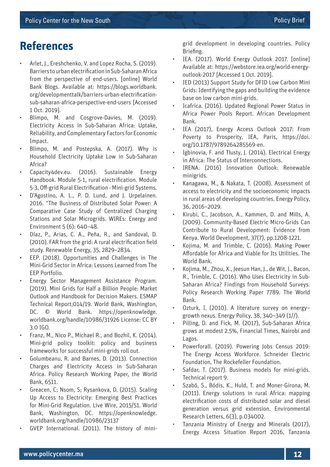### **References**

- Arlet, J., Ereshchenko, V. and Lopez Rocha, S. (2019). Barriers to urban electrification in Sub-Saharan Africa from the perspective of end-users. [online] World Bank Blogs. Available at: https://blogs.worldbank. org/developmenttalk/barriers-urban-electrificationsub-saharan-africa-perspective-end-users [Accessed 1 Oct. 2019].
- Blimpo, M. and Cosgrove-Davies, M. (2019). Electricity Access in Sub-Saharan Africa: Uptake, Reliability, and Complementary Factors for Economic Impact.
- Blimpo, M. and Postepska, A. (2017). Why is Household Electricity Uptake Low in Sub-Saharan Africa?
- Capacity4dev.eu. (2016). Sustainable Energy Handbook. Module 5-1, rural electrification. Module 5-3, Off-grid Rural Electrification - Mini-grid Systems.
- D'Agostino, A. L., P. D. Lund, and J. Urpelainen. 2016. "The Business of Distributed Solar Power: A Comparative Case Study of Centralized Charging Stations and Solar Microgrids. WIREs: Energy and Environment 5 (6): 640–48.
- Díaz, P., Arias, C. A., Peña, R., and Sandoval, D. (2010). FAR from the grid: A rural electrification field study. Renewable Energy, 35, 2829–2834.
- EEP. (2018). Opportunities and Challenges in The Mini-Grid Sector in Africa: Lessons Learned from The EEP Portfolio.
- Energy Sector Management Assistance Program. (2019). Mini Grids for Half a Billion People: Market Outlook and Handbook for Decision Makers. ESMAP Technical Report;014/19. World Bank, Washington, DC. © World Bank. https://openknowledge. worldbank.org/handle/10986/31926 License: CC BY 3.0 IGO.
- Franz, M., Nico P., Michael R., and Bozhil, K. (2014). Mini-grid policy toolkit: policy and business frameworks for successful mini-grids roll out.
- Golumbeanu, R. and Barnes, D. (2013). Connection Charges and Electricity Access in Sub-Saharan Africa. Policy Research Working Paper, the World Bank, 6511.
- Greacen, C; Nsom, S; Rysankova, D. (2015). Scaling Up Access to Electricity: Emerging Best Practices for Mini-Grid Regulation. Live Wire, 2015/51. World Bank, Washington, DC. https://openknowledge. worldbank.org/handle/10986/23137
- GVEP International. (2011). The history of mini-

grid development in developing countries. Policy Briefing.

- IEA. (2017). World Energy Outlook 2017. [online] Available at: https://webstore.iea.org/world-energyoutlook-2017 [Accessed 1 Oct. 2019].
- IED (2013) Support Study for DFID Low Carbon Mini Grids: Identifying the gaps and building the evidence base on low carbon mini-grids.
- Icafrica. (2016). Updated Regional Power Status in Africa Power Pools Report. African Development Bank.
- IEA (2017), Energy Access Outlook 2017: From Poverty to Prosperity, IEA, Paris, https://doi. org/10.1787/9789264285569-en.
- Igbinovia, F. and Tlusty, J. (2014). Electrical Energy in Africa: The Status of Interconnections.
- IRENA. (2016) Innovation Outlook: Renewable minigrids.
- Kanagawa, M., & Nakata, T. (2008). Assessment of access to electricity and the socioeconomic impacts in rural areas of developing countries. Energy Policy, 36, 2016–2029.
- Kirubi, C., Jacobson, A., Kammen, D. and Mills, A. (2009). Community-Based Electric Micro-Grids Can Contribute to Rural Development: Evidence from Kenya. World Development, 37(7), pp.1208-1221.
- Kojima, M. and Trimble, C. (2016). Making Power Affordable for Africa and Viable for Its Utilities. The World Bank.
- Kojima, M., Zhou, X., Jeesun Han, J., de Wit, J., Bacon, R., Trimble, C. (2016). Who Uses Electricity in Sub-Saharan Africa? Findings from Household Surveys. Policy Research Working Paper 7789. The World Bank.
- Ozturk, I. (2010). A literature survey on energy– growth nexus. Energy Policy, 38, 340–349 (1//).
- Pilling, D. and Fick, M. (2017), Sub-Saharan Africa grows at modest 2.5%, Financial Times, Nairobi and Lagos.
- Powerforall. (2019). Powering Jobs Census 2019: The Energy Access Workforce. Schneider Electric Foundation, The Rockefeller Foundation.
- Safdar, T. (2017). Business models for mini-grids. Technical report 9.
- Szabó, S., Bódis, K., Huld, T. and Moner-Girona, M. (2011). Energy solutions in rural Africa: mapping electrification costs of distributed solar and diesel generation versus grid extension. Environmental Research Letters, 6(3), p.034002.
- Tanzania Ministry of Energy and Minerals (2017), Energy Access Situation Report 2016, Tanzania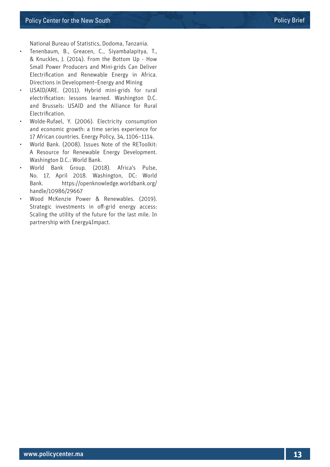National Bureau of Statistics, Dodoma, Tanzania.

- Tenenbaum, B., Greacen, C., Siyambalapitya, T., & Knuckles, J. (2014). From the Bottom Up - How Small Power Producers and Mini-grids Can Deliver Electrification and Renewable Energy in Africa. Directions in Development–Energy and Mining
- USAID/ARE. (2011). Hybrid mini-grids for rural electrification: lessons learned. Washington D.C. and Brussels: USAID and the Alliance for Rural Electrification.
- Wolde-Rufael, Y. (2006). Electricity consumption and economic growth: a time series experience for 17 African countries. Energy Policy, 34, 1106–1114.
- World Bank. (2008). Issues Note of the REToolkit: A Resource for Renewable Energy Development. Washington D.C.: World Bank.
- World Bank Group. (2018). Africa's Pulse, No. 17, April 2018. Washington, DC: World Bank. https://openknowledge.worldbank.org/ handle/10986/29667
- Wood McKenzie Power & Renewables. (2019). Strategic investments in off-grid energy access: Scaling the utility of the future for the last mile. In partnership with Energy4Impact.